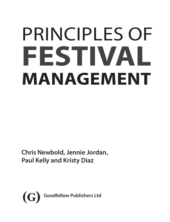# PRINCIPLES OF **FESTIVAL MANAGEMENT**

**Chris Newbold, Jennie Jordan, Paul Kelly and Kristy Diaz**

<span id="page-0-0"></span>**(G) Goodfellow Publishers Ltd**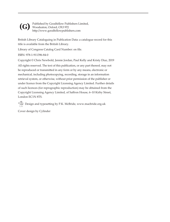<span id="page-1-0"></span>

Published by Goodfellow Publishers Limited, Woodeaton, Oxford, OX3 9TJ http://www.goodfellowpublishers.com

British Library Cataloguing in Publication Data: a catalogue record for this title is available from the British Library.

Library of Congress Catalog Card Number: on file.

ISBN: 978-1-911396-84-0

Copyright © Chris Newbold, Jennie Jordan, Paul Kelly and Kristy Diaz, 2019

All rights reserved. The text of this publication, or any part thereof, may not be reproduced or transmitted in any form or by any means, electronic or mechanical, including photocopying, recording, storage in an information retrieval system, or otherwise, without prior permission of the publisher or under licence from the Copyright Licensing Agency Limited. Further details of such licences (for reprographic reproduction) may be obtained from the Copyright Licensing Agency Limited, of Saffron House, 6–10 Kirby Street, London EC1N 8TS.

Design and typesetting by P.K. McBride, www.macbride.org.uk

Cover design by Cylinder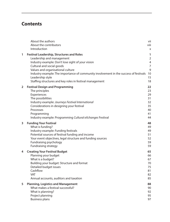## <span id="page-2-0"></span>**Contents**

|   | About the authors<br>About the contributors<br>Introduction                                                                                                                                                                                                                                                                                                                   | vii<br>viii<br>X                                                                          |
|---|-------------------------------------------------------------------------------------------------------------------------------------------------------------------------------------------------------------------------------------------------------------------------------------------------------------------------------------------------------------------------------|-------------------------------------------------------------------------------------------|
| 1 | <b>Festival Leadership, Structures and Roles</b><br>Leadership and management<br>Industry example: Don't lose sight of your vision<br>Cultural and social goods<br>Values and organisational culture<br>Industry example: The importance of community involvement in the success of festivals<br>Leadership style<br>Staffing structures and key roles in festival management | $\mathbf{1}$<br>$\overline{2}$<br>$\overline{4}$<br>$\overline{7}$<br>9<br>10<br>15<br>18 |
| 2 | <b>Festival Design and Programming</b><br>The principles<br>Experiences<br>The possibilities<br>Industry example: Journeys Festival International<br>Considerations in designing your festival<br>Processes<br>Programming<br>Industry example: Programming Cultural eXchanges Festival                                                                                       | 22<br>23<br>29<br>31<br>32<br>35<br>40<br>41<br>44                                        |
| 3 | <b>Funding Your Festival</b><br>What is funding?<br>Industry example: Funding festivals<br>Potential sources of festival funding and income<br>Your event objectives, legal structure and funding sources<br>Fundraising psychology<br>Fundraising strategy                                                                                                                   | 48<br>49<br>49<br>51<br>52<br>59<br>59                                                    |
| 4 | <b>Creating Your Festival Budget</b><br>Planning your budget<br>What is a budget?<br>Building your budget: Structure and format<br>Detailed budget issues<br>Cashflow<br><b>VAT</b><br>Annual accounts, auditors and taxation                                                                                                                                                 | 65<br>66<br>67<br>70<br>75<br>81<br>82<br>85                                              |
| 5 | <b>Planning, Logistics and Management</b><br>What makes a festival successful?<br>What is planning?<br>Project planning<br><b>Business plans</b>                                                                                                                                                                                                                              | 88<br>90<br>92<br>95<br>97                                                                |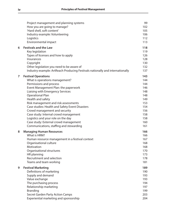<span id="page-3-0"></span>

|   | Project management and planning systems<br>How you are going to manage?<br>'Hard shell, soft content'<br>Industry example: Volunteering<br>Logistics<br>Environmental impact                                                                                                                                                                                                                                                                                                                                       | 99<br>102<br>105<br>106<br>112<br>113                                                          |
|---|--------------------------------------------------------------------------------------------------------------------------------------------------------------------------------------------------------------------------------------------------------------------------------------------------------------------------------------------------------------------------------------------------------------------------------------------------------------------------------------------------------------------|------------------------------------------------------------------------------------------------|
| 6 | <b>Festivals and the Law</b><br>Key legislation<br>Types of licenses and how to apply<br>Insurances<br>Copyright<br>Other legislation you need to be aware of<br>Industry example: ArtReach Producing Festivals nationally and internationally                                                                                                                                                                                                                                                                     | 118<br>119<br>126<br>128<br>130<br>132<br>137                                                  |
| 7 | <b>Festival Operations</b><br>What is operations management?<br>Permissions and process<br>Event Management Plan: the paperwork<br>Liaising with Emergency Services<br><b>Operational Plan</b><br>Health and safety<br>Risk management and risk assessments<br>Case studies: Health and Safety Event Disasters<br>Crowd management and security<br>Case study: Internal crowd management<br>Logistics and your role on the day<br>Case study: External crowd management<br>Communications, staffing and stewarding | 143<br>144<br>144<br>146<br>148<br>148<br>149<br>153<br>154<br>156<br>158<br>158<br>160<br>161 |
| 8 | <b>Managing Human Resources</b><br>What is HRM?<br>Human resource management in a festival context<br>Organisational culture<br>Motivation<br>Organisational structures<br>HR planning<br>Recruitment and selection<br>Teams and team working                                                                                                                                                                                                                                                                      | 166<br>166<br>167<br>168<br>168<br>170<br>173<br>178<br>181                                    |
| 9 | <b>Festival Marketing</b><br>Definitions of marketing<br>Supply and demand<br>Value exchange<br>The purchasing process<br>Relationship marketing<br><b>Branding</b><br>Secret Garden Party Action Camps<br>Experiential marketing and sponsorship                                                                                                                                                                                                                                                                  | 189<br>190<br>193<br>193<br>194<br>197<br>199<br>203<br>204                                    |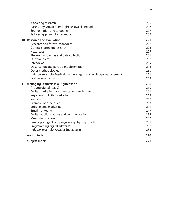<span id="page-4-0"></span>

| Marketing research                                               | 205 |
|------------------------------------------------------------------|-----|
| Case study: Amsterdam Light Festival Illuminade                  | 206 |
| Segmentation and targeting                                       | 207 |
| Tailored approach to marketing                                   | 209 |
| 10 Research and Evaluation                                       | 221 |
| Research and festival managers                                   | 222 |
| Getting started on research                                      | 224 |
| Next steps                                                       | 227 |
| The methodologies and data collection                            | 231 |
| Questionnaires                                                   | 232 |
| <b>Interviews</b>                                                | 239 |
| Observation and participant observation                          | 246 |
| Other methodologies                                              | 250 |
| Industry example: Festivals, technology and knowledge management | 251 |
| <b>Festival evaluation</b>                                       | 253 |
| 11 Managing Festivals in a Digital World                         | 256 |
| Are you digital-ready?                                           | 260 |
| Digital marketing, communications and content                    | 261 |
| Key areas of digital marketing                                   | 262 |
| Website                                                          | 262 |
| Example website brief                                            | 263 |
| Social media marketing                                           | 271 |
| Email marketing                                                  | 277 |
| Digital public relations and communications                      | 278 |
| <b>Measuring success</b>                                         | 280 |
| Running a digital campaign: a step-by-step guide                 | 281 |
| Programming digital artworks                                     | 282 |
| Industry example: Arcadia Spectacular                            | 284 |
| <b>Author index</b>                                              | 290 |
| Subject index                                                    | 291 |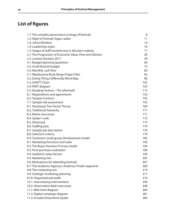## <span id="page-5-0"></span>**List of figures**

| 1.1: The complex governance ecology of festivals         | 8   |
|----------------------------------------------------------|-----|
| 1.2: Night of Festivals Sagar Ladies                     | 11  |
| 1.3: Johari Window                                       | 14  |
| 1.4: Leadership styles                                   | 16  |
| 1.5: Stages of staff involvement in decision-making      | 17  |
| 2.1: The Progression of Economic Value, Pine and Gilmore | 29  |
| 2.2: Lumiere Durham 2017                                 | 39  |
| 4.1: Budget planning questions                           | 66  |
| 4.2: Small festival budget                               | 73  |
| 4.3: Monthly cash flow                                   | 83  |
| 5.1: Westbourne Book Binge Project Plan                  | 93  |
| 5.2: Doing Things Differently Mind Map                   | 96  |
| 5.3: GANTT Chart                                         | 102 |
| 5.4: PERT diagram                                        | 103 |
| 5.5: Reading Festival - The aftermath                    | 113 |
| 6.1: Negotiations and agreements                         | 133 |
| 6.2: Sample Contract                                     | 142 |
| 7.1: Sample risk assessment                              | 155 |
| 8.1: Herzberg's Two Factor Theory                        | 169 |
| 8.2: Traditional hierarchy                               | 171 |
| 8.3: Matrix structures                                   | 171 |
| 8.4: Spider's web                                        | 172 |
| 8.5: Shamrock                                            | 173 |
| 8.6: Staffing plan                                       | 174 |
| 8.7: Sample job description                              | 176 |
| 8.8: Selection criteria                                  | 179 |
| 8.9: Tuckman's small group development model             | 182 |
| 9.1: Marketing functions and tasks                       | 192 |
| 9.2: The Buyer Decision Process model                    | 194 |
| 9.3: Post-purchase evaluation                            | 196 |
| 9.4: Audience value factors                              | 199 |
| 9.5: Marketing mix                                       | 205 |
| 9.6: Motivations for attending festivals                 | 207 |
| 8.7: The Audience Agency's Audience Finder segments      | 208 |
| 9.8: The marketing mix                                   | 214 |
| 9.9: Strategic marketing planning                        | 217 |
| 8.10: Organisational audit                               | 219 |
| 10.1: Interviewing interventions                         | 244 |
| 10.2: Observation field-note areas                       | 248 |
| 11.1: Web brief diagram                                  | 264 |
| 11.2: Digital campaign diagram                           | 281 |
| 11.3: Arcadia Dreamtime Spider                           | 284 |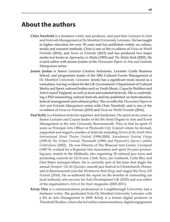## <span id="page-6-0"></span>**About the authors**

- **Chris Newbold** is a freelance writer and producer, and part-time Lecturer in Arts and Festivals Management at De Montfort University Leicester. He has taught in higher education for over 30 years and has published widely on culture, media and research methods. Chris is one of the co-editors of *Focus on World Festivals* (2016), and *Focus on Festivals* (2015) and has produced two major media text books in *Approaches to Media* (1995) and *The Media Book* (2002). He is joint editor with Jennie Jordan of the *Discussion Papers in Arts and Festivals Management* series.
- **Jennie Jordan** is Senior Lecturer Creative Industries, Leicester Castle Business School, and programme leader of the MSc Cultural Events Management at De Montfort University Leicester. Jennie has a significant track record as a consultant, having worked for the UK Government's Department of Cultural Media and Sport, national bodies such as Youth Music, Capacity Builders and Arts Council England, as well as local and national festivals. She is undertaking a PhD researching cultural festivals and has published on festivalisation, festival management and cultural policy. She co-edits the *Discussion Papers in Arts and Festivals Management* series with Chris Newbold. and is one of the co-editors of *Focus on Festivals* (2015) and *Focus on World Festivals* (2016).
- **Paul Kelly** is a freelance festivals organiser and fundraiser. He spent seven years as Senior Lecturer and Course leader of the BA Hons Degree in Arts and Event Management at the Arts University Bournemouth. Prior to that he spent 15 years as Principal Arts Officer at Plymouth City Council where he devised, supported and staged a number of festivals including *Streets of the South West International Street Theatre Festival* (1994-2000), *Soundwaves Festival Fringe* (1995-8) *The Eclipse Festival*, Plymouth (1999) and *Plymouth's Queen's Jubilee Celebrations* (2002). He was Director of The Bluecoat Arts Centre, Liverpool (1987-9), worked for a Regional Arts Association and spent 10 years promoting jazz, mainly in the Midlands, also organising 30 national jazz tours and promoting concerts by Gil Evans, Clark Terry, Jan Garbarek, Carla Bley and Chet Baker amongst others. He is currently part of the team that stages the annual *Stompin' On the Quomps*, smooth jazz festival in Christchurch, Dorset, and in Bournemouth runs the *Westbourne Book Binge* and staged the *Parry 100 Festival* (2018). He co-authored the report on the benefits of contracting out local authority arts services for Arts Development UK (2010) and was editor of the organisation's *Arts at the Heart* magazine (2005-2011).
- **Kristy Diaz** is a communications professional at Loughborough University and a freelance writer. She graduated from De Montfort University Leicester with a BA in Arts Management in 2008. Kristy is a former digital producer at Threshold Studios, where she led online communications, digital engagement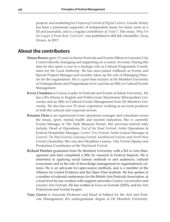<span id="page-7-0"></span>projects, and marketing for *Frequency Festival of Digital Culture*, Lincoln. Kristy has been a passionate supporter of independent music for many years as a DJ and journalist, and is a regular contributor at *Track 7*. Her essay, *Why I'm No Longer A Punk Rock 'Cool Girl'*, was published in 404 Ink's bestseller, *Nasty Women,* in 2017.

#### **About the contributors**

- **Simon Brown** spent 15 years as Senior Festivals and Events Officer in Leicester City Council directly managing and supporting on a variety of events. During this time he also spent a year in a strategic role as Cultural Programme Coordinator for the Local Authority. He has since joined ArtReach as Events and Special Projects Manager and recently taken up the role of Managing Director for the organisation. He is a part time lecturer at De Montfort University at Undergraduate and Postgraduate level, and has an MSc in Cultural Events Management.
- **Kevin Chambers** is Course Leader in Festivals and Events at Solent University. He has a BA (Hons) in English and Politics from Manchester Metropolitan University and an MSc in Cultural Events Management from De Montfort University. He also has over 25 years' experience working as an event producer in both the cultural and corporate sectors.
- **Rosanna Dean** is an experienced event operations manager and consultant across the music, sport, mental health and tourism industries. She is currently Events Manager at The Tank Museum Dorset. Her previous festival roles include, Head of Operations, *End of the Road Festival*, Artist Operations & Festival Hospitality Manager, *Larmer Tree Festival*, Artist Liaison Manager at *Groovin' The Moo Festival*, *Laneway Festival*, *Southbound Festival*, and *North West Festival* (Australia). She was also Headliner Liaison, *Vida Festival* (Spain) and Production Coordinator at the *Wychwood Festival*.
- **Richard Fletcher** graduated from De Montfort University with a BA in Arts Management and later completed a MSc by research in Festival Impacts. He is interested in applying social science methods to arts audiences, cultural ecosystems and in the role of knowledge management in organisational cultures. He is an advocate for open-source methods, and is a member of the Alliance for Useful Evidence and the Open Data Institute. He has spoken at a number of national conferences for the British Arts Festivals Association, at a local level he has worked with support networks *Creative Leicestershire* and *Leicester Arts Festivals*. He has written in *Focus on Festivals* (2015), and for *Arts Professional* and *Festival Insights*.
- **Tony Graves** is Associate Professor and Head of Subject for the Arts and Festivals Management, BA undergraduate degree at De Montfort University.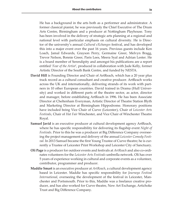<span id="page-8-0"></span>He has a background in the arts both as a performer and administrator. A former classical pianist, he was previously the Chief Executive of The Drum Arts Centre, Birmingham and a producer at Nottingham Playhouse. Tony has been involved in the delivery of strategic arts planning at a regional and national level with particular emphasis on cultural diversity. He is Director of the university's annual *Cultural eXchanges* festival, and has developed this into a major event over the past 16 years. Previous guests include Ken Loach, Jamal Edwards, Grayson Perry, Germaine Greer, Melvyn Bragg, Trevor Nelson, Bonnie Greer, Paris Lees, Meera Syal and Adrian Lester. He is a board member of Serendipity and amongst his publications are a report entitled '*Fear of the Artist*', produced in collaboration with Jude Kelly, former Artistic Director of the South Bank Centre, and funded by NESTA.

- **David Hill** is Founding Director and Chair of ArtReach, which has a 20 year plus track record as a cultural consultant and creative producer. ArtReach works across the UK and internationally, delivering strands of its work with partners in 10 other European countries. David trained in Drama (Hull University) and worked in different parts of the theatre sector, as actor, director and manager, before establishing ArtReach in 1996. He has been Associate Director at Cheltenham Everyman, Artistic Director of Theatre Station Blyth and Marketing Director at Birmingham Hippodrome. Honorary positions have included being Vice Chair of Curve (Leicester), Chair of *Leicester Arts Festivals*, Chair of *Hat Fair* Winchester, and Vice Chair of Winchester Theatre Royal.
- **Samuel Javid** is an executive producer at cultural development agency ArtReach, where he has specific responsibility for delivering its flagship event *Night of Festivals*. Prior to this he was a producer at Big Difference Company overseeing the project management and delivery of the annual *Leicester Comedy Festival*. In 2013 Samuel became the first Young Trustee of Curve theatre; he is currently a Trustee of Leicester Print Workshop and Leicester City of Sanctuary.
- **Oli Page** is a producer for outdoor events and festivals at *ArtReach* and also co-ordinates volunteers for the *Leicester Arts Festivals* umbrella network. Oli has over 5 years of experience working in cultural and corporate events as a volunteer, contributor, programmer and producer.
- **Maddie Smart** is an executive producer at *ArtReach*, a cultural development agency based in Leicester. Maddie has specific responsibility for *Journeys Festival International*, overseeing the development of the festival in Leicester, Manchester and Portsmouth. Prior to this, Maddie was a freelance creative producer, and has also worked for Curve theatre, New Art Exchange, Artichoke Trust and Big Difference Company.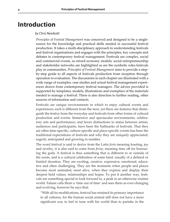## <span id="page-9-0"></span>**Introduction**

#### *by Chris Newbold*

*Principles of Festival Management* was conceived and designed to be a singlesource for the knowledge and practical skills needed in successful festival production. It takes a multi-disciplinary approach to understanding festivals and festival organisations and engages with the principles, key concepts and debates in contemporary festival management. Festivals are complex, social and commercial events, so mixed economy models, social entrepreneurship and stakeholder networks are highlighted as are the symbolic roles festivals play in communities. *Principles of Festival Management* aims to provide a stepby-step guide to all aspects of festivals production from inception through operation to evaluation. The discussions in each chapter are illustrated with a wide range of examples, case studies and actual festival management experiences drawn from contemporary festival managers. The advice provided is supported by templates, models, illustrations and exemplars of the materials needed to manage a festival. There is also direction to further reading, other sources of information and contacts.

Festivals are unique environments in which to enjoy cultural events and experiences; each is different from the next, yet there are features that distinguish the festive from the everyday and festivals from other forms of cultural production and events. Immersive and spectacular environments, celebratory arts and performance, and fewer distinctions in status between artists, audiences and participants, have been the hallmarks of festivals. That they are often time-specific, culture-specific and place-specific events has been the traditional expectations of festivals and why they are uniquely appreciated, eagerly anticipated and growing in number.

The word festival is said to derive from the Latin *festa* meaning feasting, joy and revelry, it is also said to come from *feriae*, meaning time off for honouring the gods. A festival is thus something that is different to or outside of the norm, and is a cultural celebration of some kind, usually of a defined or limited duration. They are exciting, creative, expressive, emotional, educative and often challenging. They are the moments when people and places become most animated, most alive, when they express and display their deepest held values, relationships and hopes. To put it another way, festivals are something special to look forward to, a peak in an otherwise routine world. Falassi calls them a 'time out of time' and sees them as ever-changing and evolving, however he says that:

"With all its modifications, festival has retained its primary importance in all cultures, for the human social animal still does not have a more significant way to feel in tune with his world than to partake in the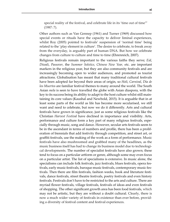<span id="page-10-0"></span>special reality of the festival, and celebrate life in its 'time out of time'" (1987: 7).

Other authors such as Van Gennep (1961) and Turner (1969) discussed how special events or rituals have the capacity to deliver liminal experiences, whilst Roy (2005) pointed to festivals' suspension of 'normal time' being related to the 'play element in culture'. The desire to celebrate, to break away from the everyday, is arguably part of human DNA. But how we celebrate changes from culture to culture and time to time (Ehrenreich, 2007).

Religious festivals remain important to the various faiths they serve; *Eid*, *Diwali*, *Passover*, the *Summer Solstice*, *Chinese New Year,* etc. are important markers in the religious year, but they are also community festivals and are increasingly becoming open to wider audiences, and promoted as tourist attractions. Globalisation has meant that many traditional cultural festivals have been adopted far beyond their areas of origin, so *Holi*, *Carnival*, *Dia de los Muertos* are familiar festival themes to many around the world. The South Asian *mela* is seen to have travelled the globe with Asian diaspora, with the key to its success being its ability to adapt to the host culture whilst still maintaining its core values (Kaushal and Newbold, 2015). It is arguable that in at least some parts of the world as life has become more secularised, we still want and need to celebrate, but now we do it differently. Arts and cultural festivals have grown in significance, just as some religious festivals like the Christian *Harvest Festival* have declined in importance and visibility. Arts, performance and culture form a key part of many religious festivals, especially through music, song and dance. However, secular arts festivals seem to be in the ascendant in terms of numbers and profile, there has been a proliferation of biennials that add festivity through competition, and street art, or graffiti festivals, use the making of the work as a form of performance. Music festivals have also mushroomed and grabbed many of the headlines, as the music business itself has had to change its business model due to technological developments. The number of specialist festivals have also grown; these tend to focus on a particular artform or genre, although some may even focus on a particular artist. The list of specialisms is extensive. In music alone, the specialisms can include folk festivals, jazz festivals, blues festivals, opera festivals, early music festivals, baroque music festivals, contemporary music festivals. Then there are film festivals, fashion weeks, book and literature festivals, dance festivals, street theatre festivals, poetry festivals and even history festivals. Festivals don't have to be restricted to the arts and culture. There are myriad flower festivals, village festivals, festivals of ideas and even festivals of shopping. The other significant growth area has been food festivals, which may not be artistic, but they are without a doubt cultural. Clearly, there is now a much wider variety of festivals in existence than ever before, providing a diversity of festival content and festival experiences.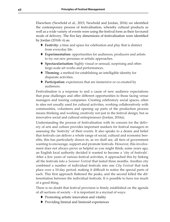<span id="page-11-0"></span>Elsewhere (Newbold et al., 2015; Newbold and Jordan, 2016) we identified the contemporary process of festivalisation, whereby cultural products as well as a wide variety of events were using the festival form as their favoured mode of delivery. The five key dimensions of festivalisation were identified by Jordan (2016b: 6) as:

- **Festivity**: a time and space for celebration and play that is distinct from everyday life.
- **Experimentation**: opportunities for audiences, producers and artists to try out new personas or artistic approaches.
- **Spectacularisation**: highly visual or sensual, surprising and often large-scale art works and performances.
- **Theming**: a method for establishing an intelligible identity for disparate activities.
- **Participation**: experiences that are immersive or co-created by audiences.

Festivalisation is a response to and a cause of new audience expectations that pose challenges and offer different opportunities to those facing venue managers and touring companies. Creating celebratory social spaces, often in sites not usually used for cultural activities, working collaboratively with communities, volunteers and opening up parts of the production process means thinking and working creatively not just in the festival design, but as innovative social and cultural entrepreneurs (Jordan, 2016a).

Understanding the process of festivalisation with its concern for the delivery of arts and culture provides important markers for festival managers in assessing the 'festivity' of their events. It also speaks to a desire and belief that festivals can deliver a whole range of social, cultural and economic benefits, this has particularly drawn in, as we shall see, all tiers of government wanting to encourage, support and promote festivals. However, this involvement does not always prove as helpful as you might think; some years ago, an English local authority decided it wanted to become a 'city of festivals'. After a few years of various festival activities, it approached this by linking all the festivals into a *Summer Festival* that lasted three months. Another city combined a number of individual festivals into one *City Festival* that took place over a 10-day period, making it difficult to notice the special parts of each. This first approach flattened the peaks, and the second killed the differentiation between the individual festivals. It *is* possible to have too much of a good thing.

There is no doubt that festival provision is firmly established on the agenda of all sections of society – it is important in a myriad of ways:

- ♦ Promoting artistic innovation and vitality
- Providing liminal and liminoid experiences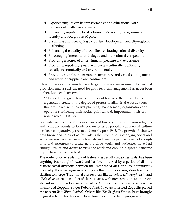- <span id="page-12-0"></span> $\blacklozenge$  Experiencing – it can be transformative and educational with moments of challenge and ambiguity
- Enhancing, reputedly, local cohesion, citizenship, *Pride*, sense of identity and recognition of place
- $\blacklozenge$  Sustaining and developing to tourism development and city/regional marketing
- Enhancing the quality of urban life, celebrating cultural diversity
- Encouraging intercultural dialogue and intercultural competence
- ◆ Providing a source of entertainment, pleasure and experience
- $\blacklozenge$  Providing, reputedly, positive impacts culturally, politically, socially, economically and environmentally
- ◆ Providing significant permanent, temporary and casual employment and work for suppliers and contractors

Clearly there can be seen to be a largely positive environment for festival provision, and as such the need for good festival management has never been higher. Long et al. observed:

"Alongside the growth in the number of festivals, there has also been a general increase in the degree of professionalism in the occupations that are linked with festival planning, management, organisation and operations reflecting their social, political and, importantly, their economic roles" (2004: 2)

Festivals have been with us since ancient times, yet the shift from religious and symbolic events to iconic cornerstones of popular commercial culture has been comparatively recent and mostly post-1945. The growth of what we now know and think of as festivals is the product of a changing social and economic environment in which artists and creative people have had enough time and resources to create new artistic work, and audiences have had enough leisure and desire to view the work and enough disposable income to purchase it or access to it.

The route to today's plethora of festivals, especially music festivals, has been anything but straightforward and has been marked by a period of distinct historic social divisions between the 'established arts' and 'counterculture'. Ironically, there are signs in recent years that these opposing strands are now starting to merge. Traditional arts festivals like *Brighton*, *Edinburgh*, *Bath* and *Cheltenham* started on a diet of classical arts, with orchestras, opera and recitals. Yet in 2017, the long-established *Bath International Festival* promoted the former Led Zeppelin singer Robert Plant, 50 years after Led Zeppelin played the nascent *Bath Blues Festival*. Others like *The Brighton Festival* have brought in guest artistic directors who have broadened the artistic programme.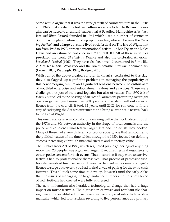<span id="page-13-0"></span>Some would argue that it was the very growth of counterculture in the 1960s and 1970s that created the festival culture we enjoy today. In Britain, the origins can be traced to an annual jazz festival at Beaulieu, Hampshire, a *National Jazz and Blues Festival* founded in 1964 which used a number of venues in South East England before winding up in Reading where it became the *Reading Festival,* and a large but short-lived rock festival on The Isle of Wight that ran from 1968 to 1970, attracted international artists like Bob Dylan and Miles Davis and an estimated audience in 1970 of 600,000. All of these initiatives pre-dated the iconic *Glastonbury Festival* and also the celebrated American *Woodstock Festival* (1969). They have also been well documented in films like *A Message to Lov*', *Woodstock* and the BBC's *Festivals Britannia* documentary (Lerner, 2005; Wadleigh, 1970; Bridger, 2010).

Whilst all of the above created cultural landmarks, celebrated to this day, they also flagged up significant problems in managing the popularity of this new-emerging culture and significant tensions between the enthusiasm of youthful enterprise and establishment values and practices. These were challenges not just of scale and logistics but also of values. The 1970 *Isle of Wight Festival* led to the passing of an Act of Parliament preventing overnight open-air gatherings of more than 5,000 people on the island without a special licence from the council. It took 32 years, until 2002, for someone to find a way of satisfying the Act's requirements and bring a large-scale festival back to the Isle of Wight.

This one instance is symptomatic of a running battle that took place through the 1970s and 80s between authority in the shape of local councils and the police and countercultural festival organisers and the artists they booked. Many of these had a very different concept of society, one that ran counter to the political values of the time which through the 1980s focused on defining success increasingly through financial success and monetary value.

The Public Order Act of 1986, which regulated public gatherings of anything more than 20 people, was a game-changer. It required festival organisers to obtain police consent for their events. That meant that if they were to survive, festivals had to professionalise themselves. That process of professionalisation also involved financialisation. If you had to meet more demands to get a licence to stage your event, you had to find a way of paying for the extra costs incurred. This all took some time to develop. It wasn't until the early 2000s that the issues of managing the large audience numbers that this new breed of rock festivals had created were fully addressed.

The new millennium also heralded technological change that had a huge impact on music festivals. The digitisation of music and resultant file-sharing meant that established music revenues from physical sales declined dramatically, which led to musicians reverting to live performance as a primary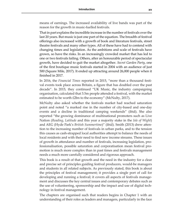<span id="page-14-0"></span>means of earnings. The increased availability of live bands was part of the reason for the growth in music-fuelled festivals.

That in part explains the incredible increase in the number of festivals over the last 20 years. But music is just one part of the equation. The breadth of festival offerings also increased with a growth of book and literature festivals, street theatre festivals and many other types. All of these have had to contend with changing times and legislation. As the ambitions and scale of festivals have grown, so have the risks. In an increasingly crowded market that has led to one or two festivals failing. Others, after an honourable period of spectacular growth, have decided to quit the market altogether. *Secret Garden Party*, one of the first boutique music festivals started in 2004 with an audience of just 500 (Square Mile, 2017). It ended up attracting around 26,000 people when it finished in 2017.

In 2016, the *Financial Times* reported in 2015, "more than a thousand festival events took place across Britain, a figure that has doubled over the past decade". In 2015, they continued "UK Music, the industry campaigning organisation, calculated that 3.5m people attended a festival, with the market estimated to be worth £2bn to the economy" (McNulty, 2017).

McNulty also asked whether the festivals market had reached saturation point and noted "a marked rise in the number of city-based and one-day events and a decline in traditional camping weekends" (ibid). She also reported "the growing dominance of multinational promoters such as Live Nation (*Reading*, *Latitude* and this year a majority stake in the *Isle of Wight*) and AEG (Hyde Park's *British Summertime*)" (ibid). Smith (2013) drew attention to the increasing number of festivals in urban parks, and to the tension this causes as cash-strapped local authorities attempt to balance the needs of local residents and with their need to find new income streams. These issues of growth in attendance and number of festivals, increasing legislation, professionalisation, possible saturation and corporatisation mean festival promotion is much more complex than in past times and festivals management needs a much more carefully considered and rigorous approach.

This book is a result of that growth and the need in the industry for a clear and precise set of principles guiding festival producers, would-be managers and students in all related subjects. As previously stated, this book is about the principles of festival management; it provides a single port of call for developing and running a festival; it covers all aspects of festivals management and discusses the key central issues and contemporary debates such as the use of volunteering, sponsorship and the impact and use of digital technology in festival management.

The chapters are organised such that readers begins in Chapter 1 with an understanding of their roles as leaders and managers, particularly in the face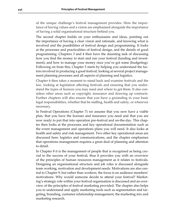<span id="page-15-0"></span>of the unique challenge's festival management provides. Here the importance of having values and a vision are emphasised alongside the importance of having a solid organisational structure behind you.

The second chapter builds on your enthusiasms and ideas, pointing out the importance of having a clear vision and rationale, and knowing what is involved and the possibilities of festival design and programming. It looks at the processes and practicalities of festival design, and the details of good programming. Chapters 3 and 4 then have the daunting task of discussing how you find the money to start and run your festival (funding and investment); and how to manage your money once you've got some (budgeting). Following on from this, Chapter 5 starts by helping you understand the factors involved in producing a good festival, looking at several project management planning processes and all aspects of planning and logistics.

Chapter 6 then takes a moment to stand back and examine festivals and the law, looking at legislation affecting festivals and ensuring that you understand the types of licences you may need and where to get them. It also considers other areas such as copyright, insurance and drawing up contracts. Further chapters will also ensure that you have a grounding in your basic legal responsibilities, whether that be staffing, health and safety, or wherever necessary.

In Festival Operations (Chapter 7) we assume that you now have a viable plan, that you have the licenses and insurance you need and that you are now ready to put that into operation pre-festival and on-the-day. This chapter then looks at the processes and key operational documentation such as the event management and operations plans you will need. It also looks at health and safety and risk management. Two other key operational areas are discussed here: logistics and communications, and the chapter emphasises that operations management requires a great deal of planning and attention to detail.

In Chapter 8 it is the management of people that is recognised as being crucial to the success of your festival, thus it provides you with an overview of the principles of human resources management as it relates to festivals. Designing an organisational structure and job roles is discussed alongside team working, motivation and development needs. Motivations are also central to Chapter 9, but rather than workers, the focus is on audience members' motivations. Why would someone decide to attend your festival? Marketing's strategic role within your festival organisation is discussed and an overview of the principles of festival marketing provided. The chapter also helps you to understand and apply marketing tools such as segmentation and targeting, branding, customer relationship management, the marketing mix and marketing research.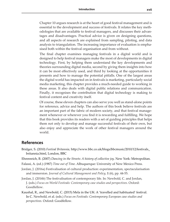<span id="page-16-0"></span>Chapter 10 argues research is at the heart of good festival management and is essential to the development and success of festivals. It relates the key methodologies that are available to festival managers, and discusses their advantages and disadvantages. Practical advice is given on designing questions, and all aspects of research are explained from sampling, piloting, and data analysis to triangulation. The increasing importance of evaluation is emphasised both within the festival organisation and from without.

The final chapter examines managing festivals in a digital world and is designed to help festival managers make the most of developments in digital technology. First, by helping them understand the key developments and theories surrounding digital media, second by giving them insights into how it can be most effectively used, and third by looking at the opportunities it presents and how to manage the potential pitfalls. One of the largest areas the digital world has impacted on in festivals is marketing, particularly social media marketing, this chapter provides a much-needed guide to working in these areas. It also deals with digital public relations and communication. Finally, it recognises the contribution that digital technology is making to festival content and creativity itself.

Of course, these eleven chapters can also serve you well as stand-alone points for reference, advice and help. The authors of this book believe festivals are an important part of the fabric of modern society, and that festival management whenever or wherever you find it is rewarding and fulfilling. We hope that this book provides its readers with a set of guiding principles that helps them not only to develop and manage successful festivals of their own, but also enjoy and appreciate the work of other festival managers around the world.

#### **References**

- Bridger, S. (2010) *Festival Britannia,* http://www.bbc.co.uk/blogs/bbcmusic/2010/12/festivals\_ britannia.html, London, BBC
- Ehrenreich, B. (2007) *Dancing in the Streets: A history of collective joy*. New York: Metropolitan.
- Falassi, A. (ed.) (1987) *Time out of Time*. Albuquerque: University of New Mexico Press.
- Jordan, J. (2016a) Festivalisation of cultural production: experimentation, spectacularisation and immersion. *Journal of Cultural Management and Policy*, **1** (6), pp. 44-55.
- Jordan, J. (2016b) The festivalisation of contemporary life. In: Newbold, C. and Jordan, J. (eds.) *Focus on World Festivals: Contemporary case studies and perspectives*. Oxford: Goodfellow.
- Kaushal, R., and Newbold, C. (2015) Mela in the UK: A 'travelled and habituated' festival. In C. Newbold, et al. (eds.) *Focus on Festivals: Contemporary European case studies and perspectives.* Oxford: Goodfellow.